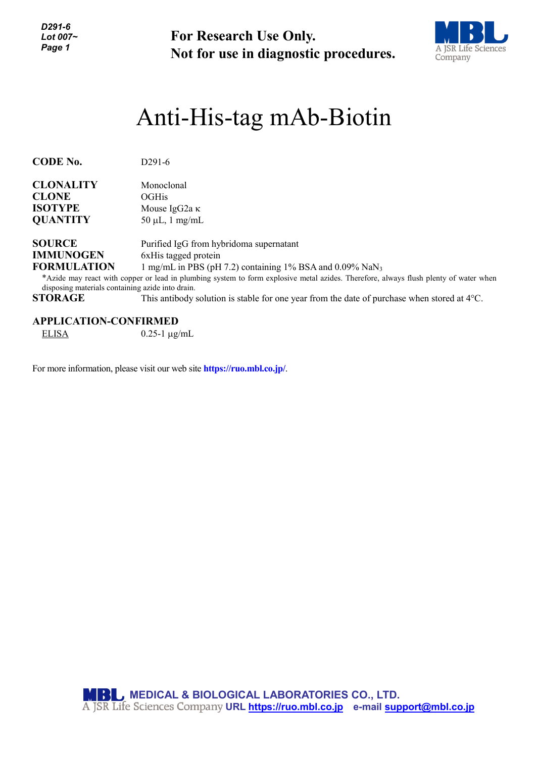*D291-6 Lot 007~ Page 1*

**For Research Use Only. Not for use in diagnostic procedures.**



## Anti-His-tag mAb-Biotin

| <b>CODE No.</b>                                  | $D291-6$                                                                                                                             |
|--------------------------------------------------|--------------------------------------------------------------------------------------------------------------------------------------|
|                                                  |                                                                                                                                      |
| <b>CLONALITY</b>                                 | Monoclonal                                                                                                                           |
| <b>CLONE</b>                                     | <b>OGHis</b>                                                                                                                         |
| <b>ISOTYPE</b>                                   | Mouse IgG2a $\kappa$                                                                                                                 |
| <b>QUANTITY</b>                                  | $50 \mu L$ , 1 mg/mL                                                                                                                 |
|                                                  |                                                                                                                                      |
| <b>SOURCE</b>                                    | Purified IgG from hybridoma supernatant                                                                                              |
| <b>IMMUNOGEN</b>                                 | 6xHis tagged protein                                                                                                                 |
| <b>FORMULATION</b>                               | 1 mg/mL in PBS (pH 7.2) containing $1\%$ BSA and 0.09% NaN <sub>3</sub>                                                              |
|                                                  | *Azide may react with copper or lead in plumbing system to form explosive metal azides. Therefore, always flush plenty of water when |
| disposing materials containing azide into drain. |                                                                                                                                      |
| <b>STORAGE</b>                                   | This antibody solution is stable for one year from the date of purchase when stored at $4^{\circ}$ C.                                |

**APPLICATION-CONFIRMED**

ELISA  $0.25$ -1  $\mu$ g/mL

For more information, please visit our web site **https://ruo.mbl.co.jp/**.